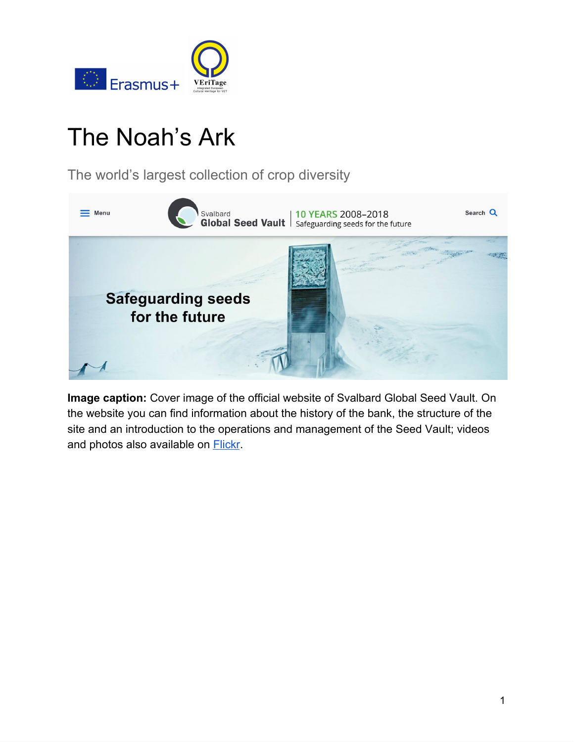

# The Noah's Ark

The world's largest collection of crop diversity



**Image caption:** Cover image of the official website of Svalbard Global Seed Vault. On the website you can find information about the history of the bank, the structure of the site and an introduction to the operations and management of the Seed Vault; videos and photos also available on **Flickr**.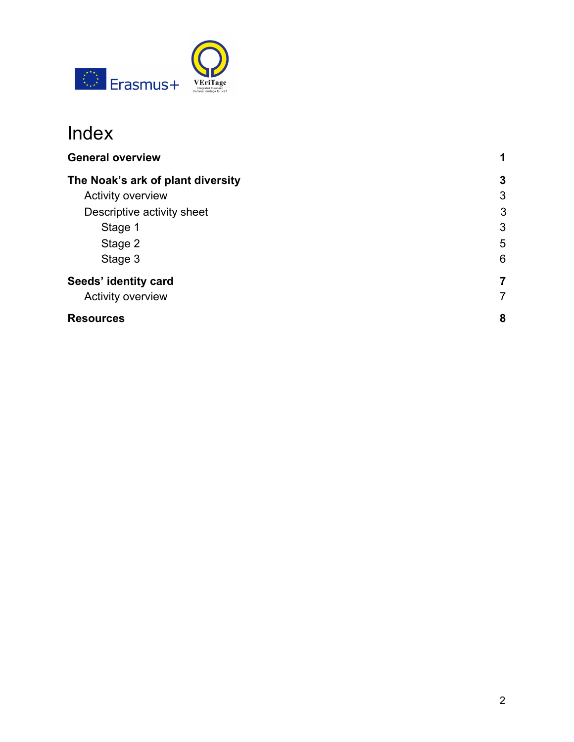

# Index

| <b>General overview</b>           |   |
|-----------------------------------|---|
| The Noak's ark of plant diversity | 3 |
| Activity overview                 | 3 |
| Descriptive activity sheet        | 3 |
| Stage 1                           | 3 |
| Stage 2                           | 5 |
| Stage 3                           | 6 |
| Seeds' identity card              | 7 |
| Activity overview                 | 7 |
| <b>Resources</b>                  | 8 |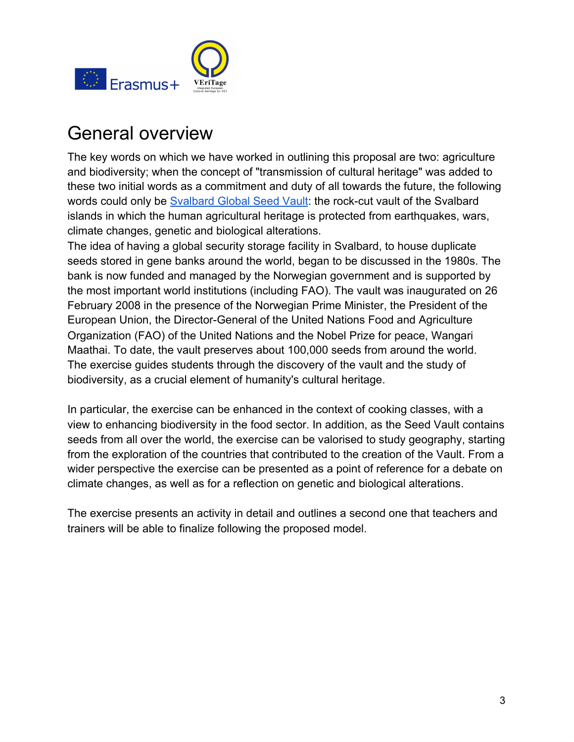

# General overview

The key words on which we have worked in outlining this proposal are two: agriculture and biodiversity; when the concept of "transmission of cultural heritage" was added to these two initial words as a commitment and duty of all towards the future, the following words could only be [Svalbard Global Seed Vault](https://www.seedvault.no/): the rock-cut vault of the Svalbard islands in which the human agricultural heritage is protected from earthquakes, wars, climate changes, genetic and biological alterations.

The idea of having a global security storage facility in Svalbard, to house duplicate seeds stored in gene banks around the world, began to be discussed in the 1980s. The bank is now funded and managed by the Norwegian government and is supported by the most important world institutions (including FAO). The vault was inaugurated on 26 February 2008 in the presence of the Norwegian Prime Minister, the President of the European Union, the Director-General of the United Nations Food and Agriculture Organization (FAO) of the United Nations and the Nobel Prize for peace, Wangari Maathai. To date, the vault preserves about 100,000 seeds from around the world. The exercise guides students through the discovery of the vault and the study of biodiversity, as a crucial element of humanity's cultural heritage.

In particular, the exercise can be enhanced in the context of cooking classes, with a view to enhancing biodiversity in the food sector. In addition, as the Seed Vault contains seeds from all over the world, the exercise can be valorised to study geography, starting from the exploration of the countries that contributed to the creation of the Vault. From a wider perspective the exercise can be presented as a point of reference for a debate on climate changes, as well as for a reflection on genetic and biological alterations.

The exercise presents an activity in detail and outlines a second one that teachers and trainers will be able to finalize following the proposed model.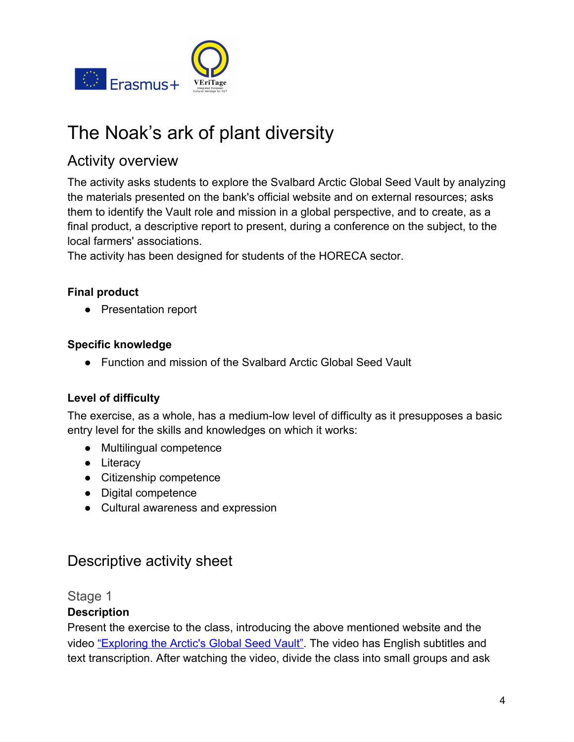

# <span id="page-3-0"></span>The Noak's ark of plant diversity

# <span id="page-3-1"></span>Activity overview

The activity asks students to explore the Svalbard Arctic Global Seed Vault by analyzing the materials presented on the bank's official website and on external resources; asks them to identify the Vault role and mission in a global perspective, and to create, as a final product, a descriptive report to present, during a conference on the subject, to the local farmers' associations.

The activity has been designed for students of the HORECA sector.

### **Final product**

● Presentation report

### **Specific knowledge**

● Function and mission of the Svalbard Arctic Global Seed Vault

### **Level of difficulty**

The exercise, as a whole, has a medium-low level of difficulty as it presupposes a basic entry level for the skills and knowledges on which it works:

- Multilingual competence
- Literacy
- Citizenship competence
- Digital competence
- Cultural awareness and expression

# <span id="page-3-2"></span>Descriptive activity sheet

<span id="page-3-3"></span>Stage 1

### **Description**

Present the exercise to the class, introducing the above mentioned website and the video ["Exploring the Arctic's Global Seed Vault".](https://www.youtube.com/watch?v=B95Pem9XW7k) The video has English subtitles and text transcription. After watching the video, divide the class into small groups and ask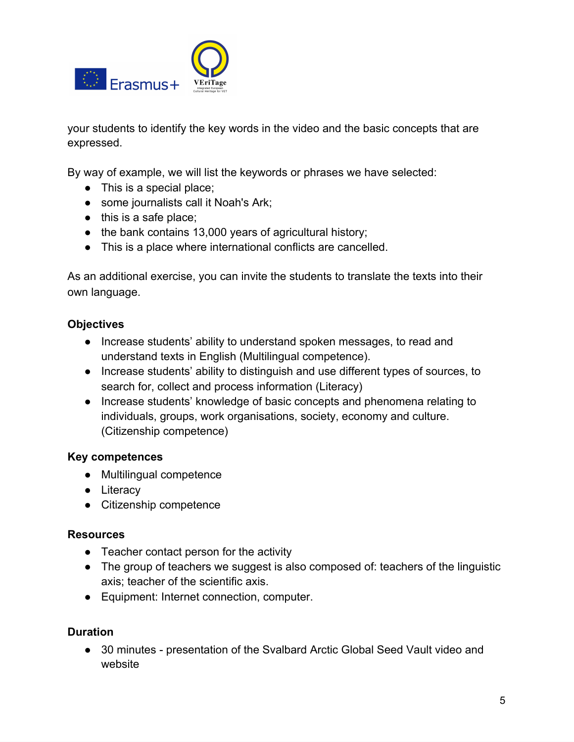

your students to identify the key words in the video and the basic concepts that are expressed.

By way of example, we will list the keywords or phrases we have selected:

- This is a special place;
- some journalists call it Noah's Ark;
- $\bullet$  this is a safe place;
- the bank contains 13,000 years of agricultural history;
- This is a place where international conflicts are cancelled.

As an additional exercise, you can invite the students to translate the texts into their own language.

#### **Objectives**

- Increase students' ability to understand spoken messages, to read and understand texts in English (Multilingual competence).
- Increase students' ability to distinguish and use different types of sources, to search for, collect and process information (Literacy)
- Increase students' knowledge of basic concepts and phenomena relating to individuals, groups, work organisations, society, economy and culture. (Citizenship competence)

#### **Key competences**

- Multilingual competence
- Literacy
- Citizenship competence

#### **Resources**

- Teacher contact person for the activity
- The group of teachers we suggest is also composed of: teachers of the linguistic axis; teacher of the scientific axis.
- Equipment: Internet connection, computer.

#### **Duration**

● 30 minutes - presentation of the Svalbard Arctic Global Seed Vault video and website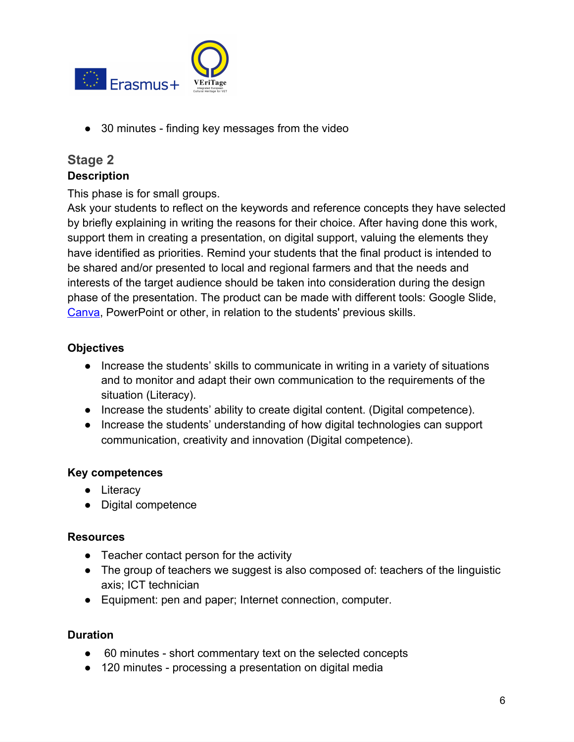

● 30 minutes - finding key messages from the video

## <span id="page-5-0"></span>**Stage 2 Description**

This phase is for small groups.

Ask your students to reflect on the keywords and reference concepts they have selected by briefly explaining in writing the reasons for their choice. After having done this work, support them in creating a presentation, on digital support, valuing the elements they have identified as priorities. Remind your students that the final product is intended to be shared and/or presented to local and regional farmers and that the needs and interests of the target audience should be taken into consideration during the design phase of the presentation. The product can be made with different tools: Google Slide, [Canva](https://www.canva.com/), PowerPoint or other, in relation to the students' previous skills.

### **Objectives**

- Increase the students' skills to communicate in writing in a variety of situations and to monitor and adapt their own communication to the requirements of the situation (Literacy).
- Increase the students' ability to create digital content. (Digital competence).
- Increase the students' understanding of how digital technologies can support communication, creativity and innovation (Digital competence).

### **Key competences**

- Literacy
- Digital competence

### **Resources**

- Teacher contact person for the activity
- The group of teachers we suggest is also composed of: teachers of the linguistic axis; ICT technician
- Equipment: pen and paper; Internet connection, computer.

### **Duration**

- 60 minutes short commentary text on the selected concepts
- 120 minutes processing a presentation on digital media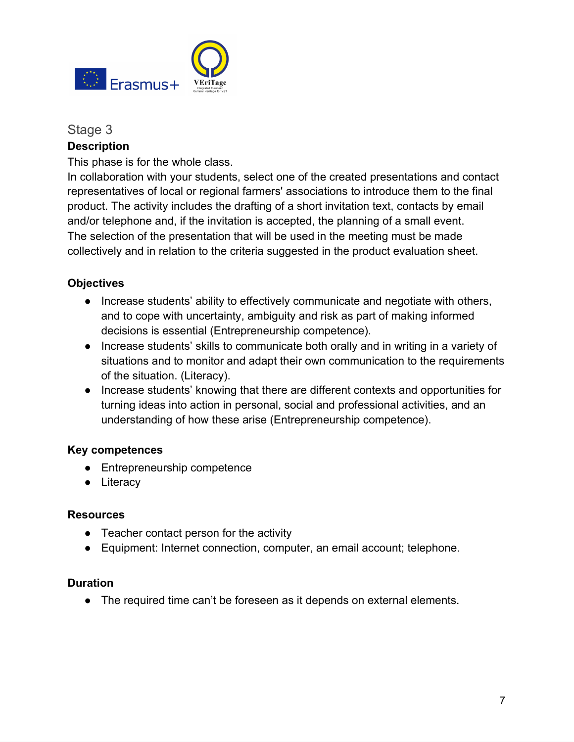

#### <span id="page-6-0"></span>Stage 3

#### **Description**

This phase is for the whole class.

In collaboration with your students, select one of the created presentations and contact representatives of local or regional farmers' associations to introduce them to the final product. The activity includes the drafting of a short invitation text, contacts by email and/or telephone and, if the invitation is accepted, the planning of a small event. The selection of the presentation that will be used in the meeting must be made collectively and in relation to the criteria suggested in the product evaluation sheet.

#### **Objectives**

- Increase students' ability to effectively communicate and negotiate with others, and to cope with uncertainty, ambiguity and risk as part of making informed decisions is essential (Entrepreneurship competence).
- Increase students' skills to communicate both orally and in writing in a variety of situations and to monitor and adapt their own communication to the requirements of the situation. (Literacy).
- Increase students' knowing that there are different contexts and opportunities for turning ideas into action in personal, social and professional activities, and an understanding of how these arise (Entrepreneurship competence).

#### **Key competences**

- Entrepreneurship competence
- Literacy

#### **Resources**

- Teacher contact person for the activity
- Equipment: Internet connection, computer, an email account; telephone.

#### **Duration**

● The required time can't be foreseen as it depends on external elements.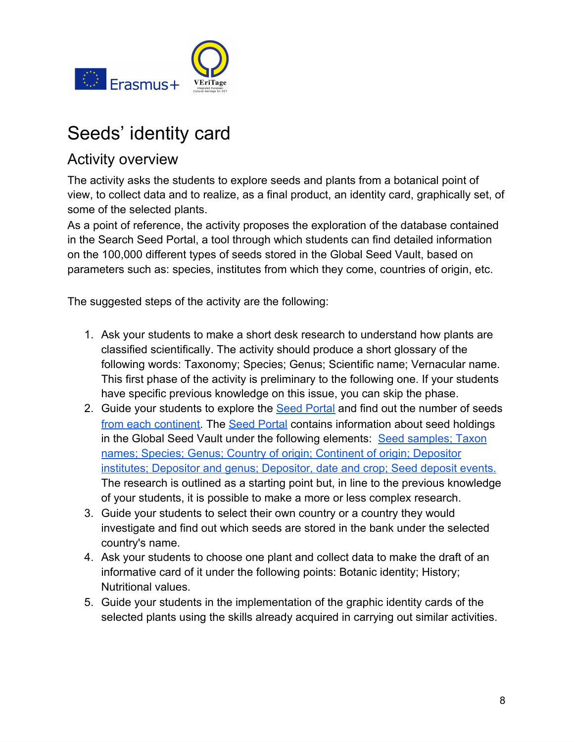

# <span id="page-7-0"></span>Seeds' identity card

# <span id="page-7-1"></span>Activity overview

The activity asks the students to explore seeds and plants from a botanical point of view, to collect data and to realize, as a final product, an identity card, graphically set, of some of the selected plants.

As a point of reference, the activity proposes the exploration of the database contained in the Search Seed Portal, a tool through which students can find detailed information on the 100,000 different types of seeds stored in the Global Seed Vault, based on parameters such as: species, institutes from which they come, countries of origin, etc.

The suggested steps of the activity are the following:

- 1. Ask your students to make a short desk research to understand how plants are classified scientifically. The activity should produce a short glossary of the following words: Taxonomy; Species; Genus; Scientific name; Vernacular name. This first phase of the activity is preliminary to the following one. If your students have specific previous knowledge on this issue, you can skip the phase.
- 2. Guide your students to explore the **Seed Portal** and find out the number of seeds [from each continent.](https://www.nordgen.org/sgsv/index.php?app=data_unit&unit=sgsv_by_continent) The [Seed Portal](https://www.nordgen.org/en/global-seed-vault/search-seed-vault/) contains information about seed holdings in the Global Seed Vault under the following elements: [Seed samples](https://www.nordgen.org/sgsv/index.php?app=data_unit&unit=sgsv); [Taxon](https://www.nordgen.org/sgsv/index.php?app=data_unit&unit=sgsv_by_taxon) [names](https://www.nordgen.org/sgsv/index.php?app=data_unit&unit=sgsv_by_taxon); [Species;](https://www.nordgen.org/sgsv/index.php?app=data_unit&unit=sgsv_by_species) [Genus;](https://www.nordgen.org/sgsv/index.php?app=data_unit&unit=sgsv_by_genus) [Country of origin](https://www.nordgen.org/sgsv/index.php?app=data_unit&unit=sgsv_by_country); [Continent of origin](https://www.nordgen.org/sgsv/index.php?app=data_unit&unit=sgsv_by_continent); [Depositor](https://www.nordgen.org/sgsv/index.php?app=data_unit&unit=sgsv_by_depositor) [institutes](https://www.nordgen.org/sgsv/index.php?app=data_unit&unit=sgsv_by_depositor); [Depositor and genus;](https://www.nordgen.org/sgsv/index.php?app=data_unit&unit=sgsv_by_depositor_genus) [Depositor, date and crop;](https://www.nordgen.org/sgsv/index.php?app=data_unit&unit=sgsv_by_depositor_genus_date) [Seed deposit events](https://www.nordgen.org/sgsv/index.php?app=data_unit&unit=sgsv_by_deposit_date). The research is outlined as a starting point but, in line to the previous knowledge of your students, it is possible to make a more or less complex research.
- 3. Guide your students to select their own country or a country they would investigate and find out which seeds are stored in the bank under the selected country's name.
- 4. Ask your students to choose one plant and collect data to make the draft of an informative card of it under the following points: Botanic identity; History; Nutritional values.
- 5. Guide your students in the implementation of the graphic identity cards of the selected plants using the skills already acquired in carrying out similar activities.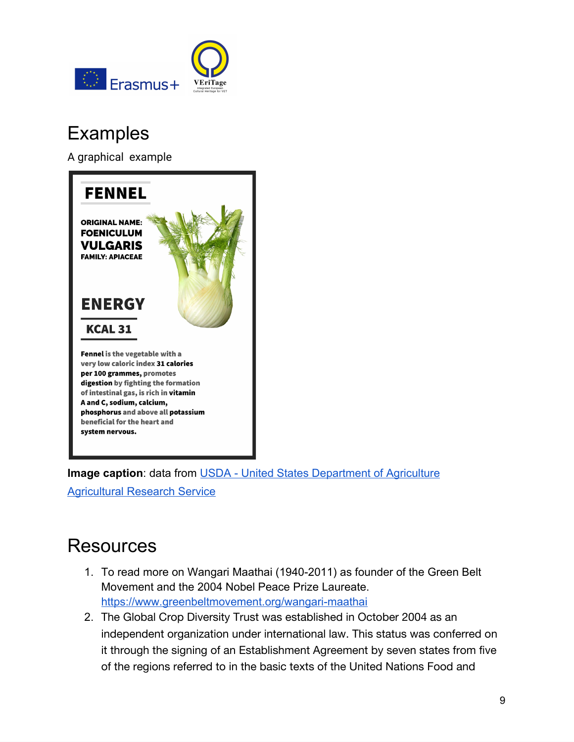

# Examples

A graphical example



**Image caption:** data from [USDA - United States Department of Agriculture](https://www.ars.usda.gov/)

[Agricultural Research Service](https://www.ars.usda.gov/)

# Resources

- 1. To read more on Wangari Maathai (1940-2011) as founder of the Green Belt Movement and the 2004 Nobel Peace Prize Laureate. <https://www.greenbeltmovement.org/wangari-maathai>
- 2. The Global Crop Diversity Trust was established in October 2004 as an independent organization under international law. This status was conferred on it through the signing of an Establishment Agreement by seven states from five of the regions referred to in the basic texts of the United Nations Food and